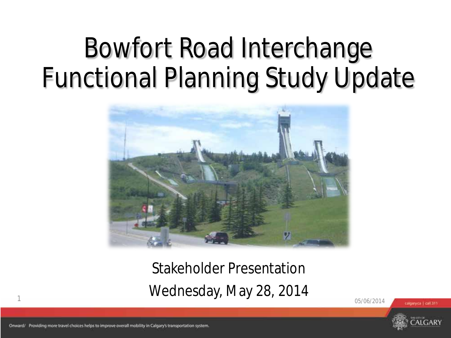

 $1 - 9 - 1 - 9 - 1 - 1 - 0$ Stakeholder Presentation Wednesday, May 28, 2014

calgany.ca: | call 311



Onward/ Providing more travel choices helps to improve overall mobility in Calgary's transportation system.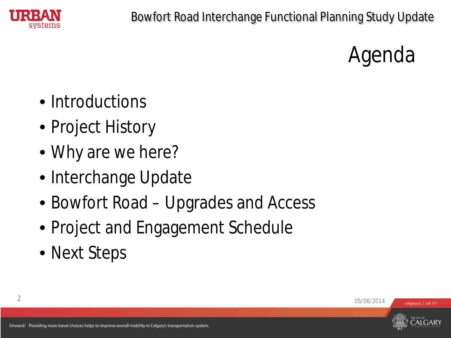



- Introductions
- Project History
- Why are we here?
- Interchange Update
- Bowfort Road Upgrades and Access
- Project and Engagement Schedule
- Next Steps

05/06/2014 2



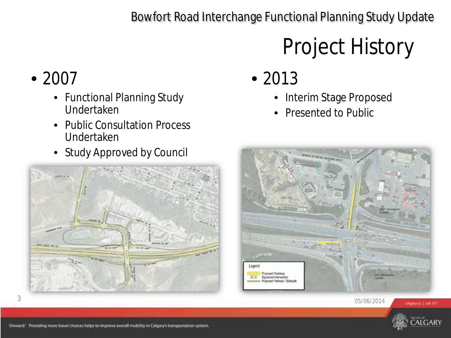# Project History

## • 2007

- Functional Planning Study Undertaken
- Public Consultation Process Undertaken
- Study Approved by Council



- 2013
	- Interim Stage Proposed
	- Presented to Public



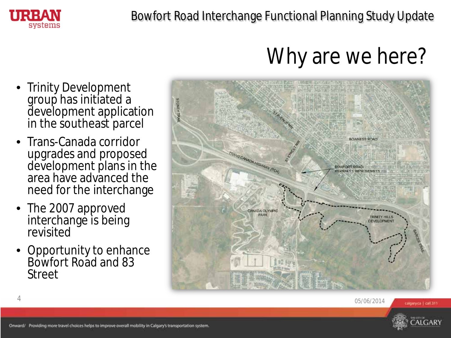

# Why are we here?

- Trinity Development group has initiated a development application in the southeast parcel
- Trans-Canada corridor upgrades and proposed development plans in the area have advanced the need for the interchange
- The 2007 approved interchange is being revisited
- Opportunity to enhance Bowfort Road and 83 Street







Onward/ Providing more travel choices helps to improve overall mobility in Calgary's transportation system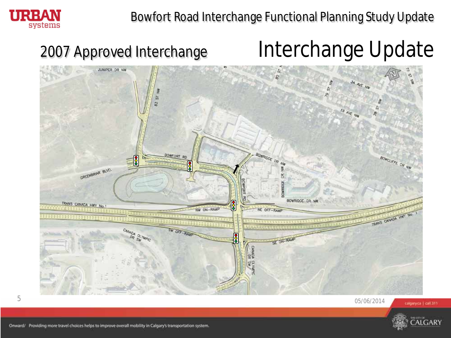

# 2007 Approved Interchange Interchange Update



05/06/2014 5



**ALGARY** 

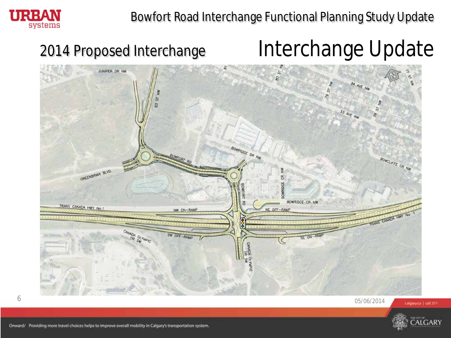

# 2014 Proposed Interchange Interchange Update





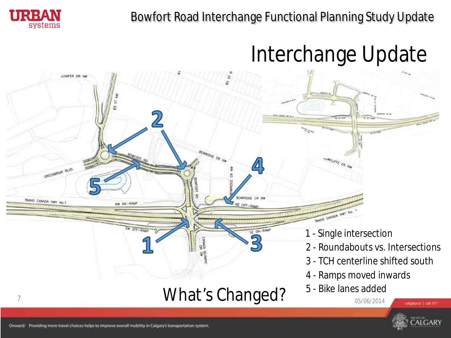

## Interchange Update

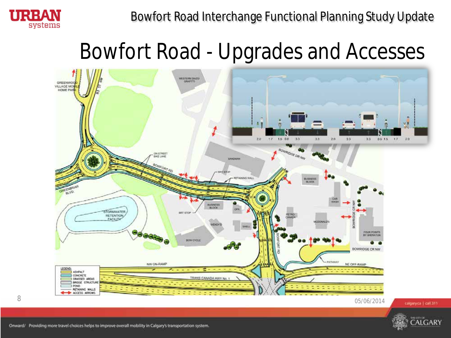

## Bowfort Road - Upgrades and Accesses



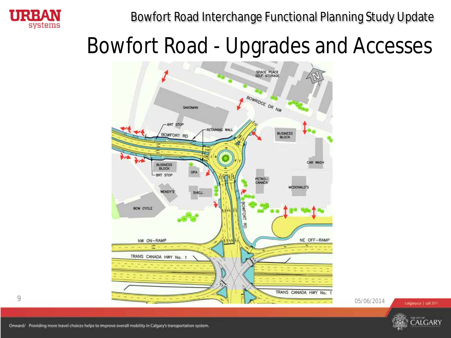

# Bowfort Road - Upgrades and Accesses



calgary.ca | call.311

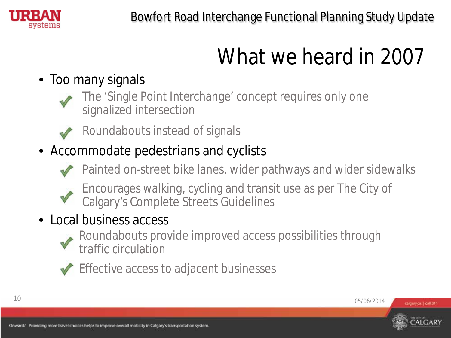

# What we heard in 2007

### • Too many signals



- The 'Single Point Interchange' concept requires only one signalized intersection
- 
- Roundabouts instead of signals
- Accommodate pedestrians and cyclists
	- Painted on-street bike lanes, wider pathways and wider sidewalks
	-
- Encourages walking, cycling and transit use as per The City of Calgary's Complete Streets Guidelines
- Local business access
	- Roundabouts provide improved access possibilities through
	- traffic circulation
	- Effective access to adjacent businesses



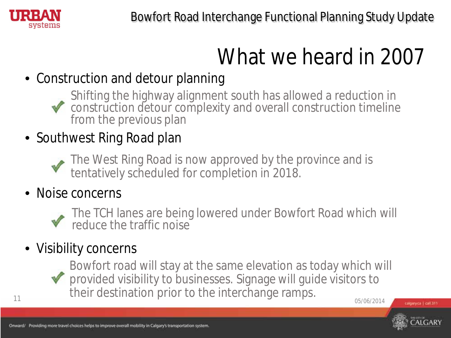

# What we heard in 2007

## • Construction and detour planning

Shifting the highway alignment south has allowed a reduction in ◆ construction detour complexity and overall construction timeline from the previous plan

## • Southwest Ring Road plan



The West Ring Road is now approved by the province and is tentatively scheduled for completion in 2018.

#### • Noise concerns



The TCH lanes are being lowered under Bowfort Road which will reduce the traffic noise

## • Visibility concerns

their destination prior to the interchange ramps. Bowfort road will stay at the same elevation as today which will provided visibility to businesses. Signage will guide visitors to



calgary.ca | call 311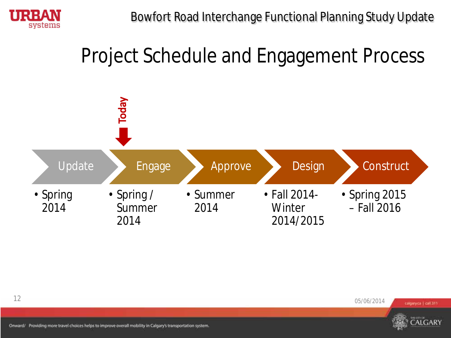

## Project Schedule and Engagement Process



05/06/2014 12

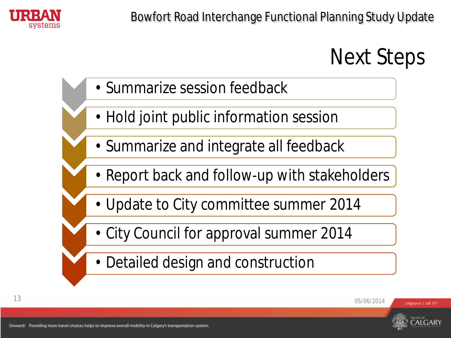

# Next Steps

- Summarize session feedback
- Hold joint public information session
- Summarize and integrate all feedback
- Report back and follow-up with stakeholders
- Update to City committee summer 2014
- City Council for approval summer 2014
- Detailed design and construction

05/06/2014 13



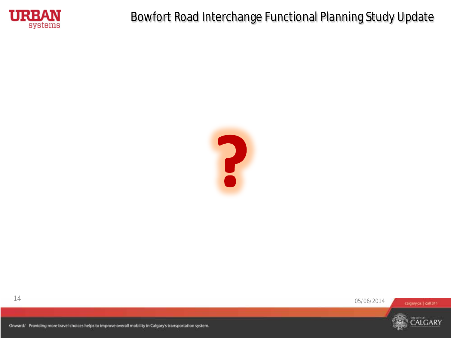



05/06/2014 14





Onward/ Providing more travel choices helps to improve overall mobility in Calgary's transportation system.